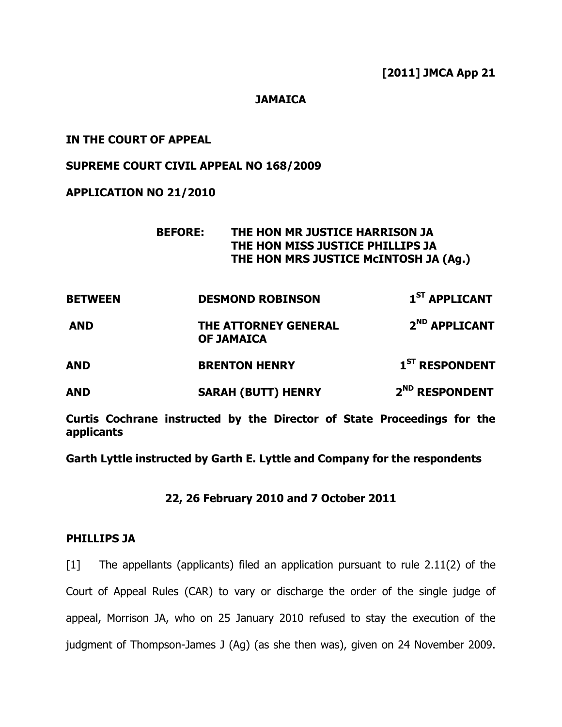### **JAMAICA**

### IN THE COURT OF APPEAL

### SUPREME COURT CIVIL APPEAL NO 168/2009

## APPLICATION NO 21/2010

# BEFORE: THE HON MR JUSTICE HARRISON JA THE HON MISS JUSTICE PHILLIPS JA THE HON MRS JUSTICE McINTOSH JA (Ag.)

| <b>BETWEEN</b> | <b>DESMOND ROBINSON</b>                          | 1 <sup>ST</sup> APPLICANT  |
|----------------|--------------------------------------------------|----------------------------|
| <b>AND</b>     | <b>THE ATTORNEY GENERAL</b><br><b>OF JAMAICA</b> | 2 <sup>ND</sup> APPLICANT  |
| <b>AND</b>     | <b>BRENTON HENRY</b>                             | $1ST$ RESPONDENT           |
| <b>AND</b>     | <b>SARAH (BUTT) HENRY</b>                        | 2 <sup>ND</sup> RESPONDENT |

Curtis Cochrane instructed by the Director of State Proceedings for the applicants

Garth Lyttle instructed by Garth E. Lyttle and Company for the respondents

22, 26 February 2010 and 7 October 2011

### PHILLIPS JA

[1] The appellants (applicants) filed an application pursuant to rule 2.11(2) of the Court of Appeal Rules (CAR) to vary or discharge the order of the single judge of appeal, Morrison JA, who on 25 January 2010 refused to stay the execution of the judgment of Thompson-James J (Ag) (as she then was), given on 24 November 2009.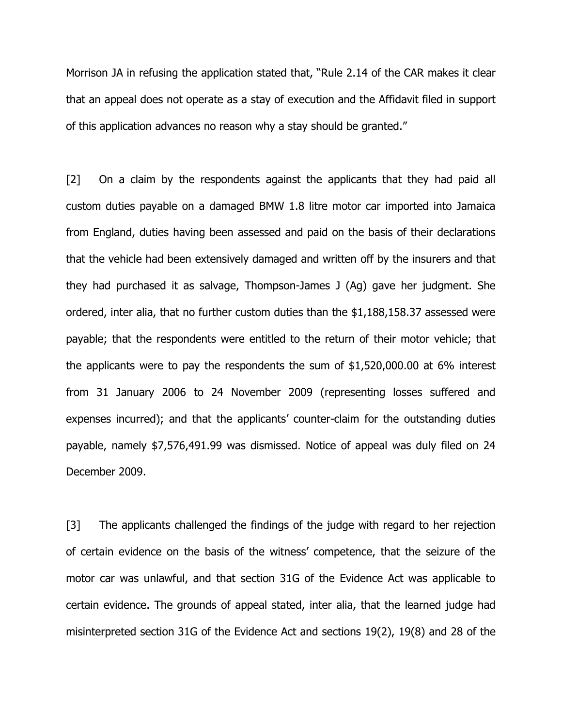Morrison JA in refusing the application stated that, "Rule 2.14 of the CAR makes it clear that an appeal does not operate as a stay of execution and the Affidavit filed in support of this application advances no reason why a stay should be granted."

[2] On a claim by the respondents against the applicants that they had paid all custom duties payable on a damaged BMW 1.8 litre motor car imported into Jamaica from England, duties having been assessed and paid on the basis of their declarations that the vehicle had been extensively damaged and written off by the insurers and that they had purchased it as salvage, Thompson-James J (Ag) gave her judgment. She ordered, inter alia, that no further custom duties than the \$1,188,158.37 assessed were payable; that the respondents were entitled to the return of their motor vehicle; that the applicants were to pay the respondents the sum of \$1,520,000.00 at 6% interest from 31 January 2006 to 24 November 2009 (representing losses suffered and expenses incurred); and that the applicants' counter-claim for the outstanding duties payable, namely \$7,576,491.99 was dismissed. Notice of appeal was duly filed on 24 December 2009.

[3] The applicants challenged the findings of the judge with regard to her rejection of certain evidence on the basis of the witness' competence, that the seizure of the motor car was unlawful, and that section 31G of the Evidence Act was applicable to certain evidence. The grounds of appeal stated, inter alia, that the learned judge had misinterpreted section 31G of the Evidence Act and sections 19(2), 19(8) and 28 of the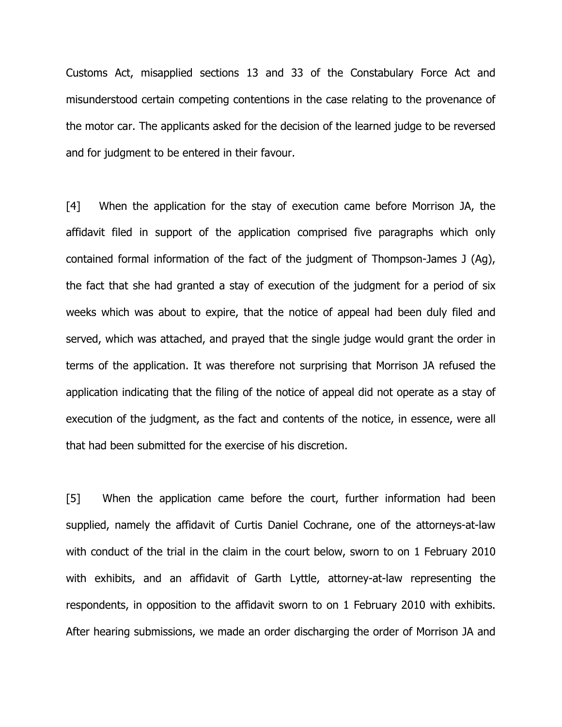Customs Act, misapplied sections 13 and 33 of the Constabulary Force Act and misunderstood certain competing contentions in the case relating to the provenance of the motor car. The applicants asked for the decision of the learned judge to be reversed and for judgment to be entered in their favour.

[4] When the application for the stay of execution came before Morrison JA, the affidavit filed in support of the application comprised five paragraphs which only contained formal information of the fact of the judgment of Thompson-James J (Ag), the fact that she had granted a stay of execution of the judgment for a period of six weeks which was about to expire, that the notice of appeal had been duly filed and served, which was attached, and prayed that the single judge would grant the order in terms of the application. It was therefore not surprising that Morrison JA refused the application indicating that the filing of the notice of appeal did not operate as a stay of execution of the judgment, as the fact and contents of the notice, in essence, were all that had been submitted for the exercise of his discretion.

[5] When the application came before the court, further information had been supplied, namely the affidavit of Curtis Daniel Cochrane, one of the attorneys-at-law with conduct of the trial in the claim in the court below, sworn to on 1 February 2010 with exhibits, and an affidavit of Garth Lyttle, attorney-at-law representing the respondents, in opposition to the affidavit sworn to on 1 February 2010 with exhibits. After hearing submissions, we made an order discharging the order of Morrison JA and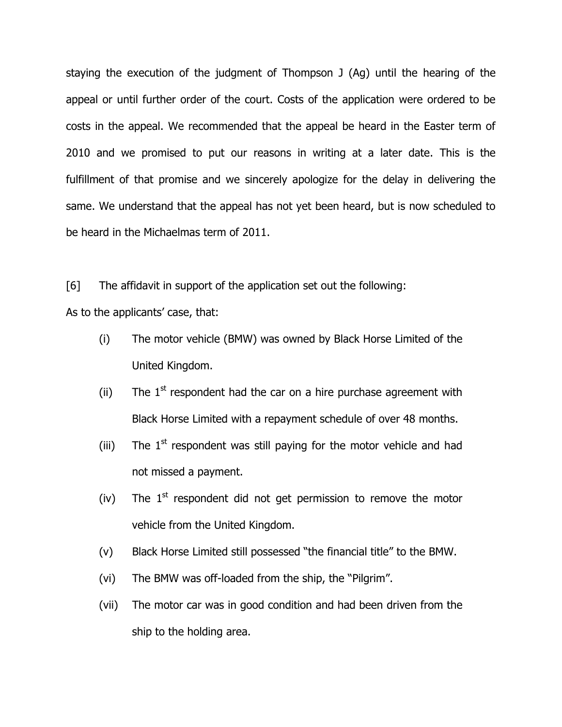staying the execution of the judgment of Thompson J (Ag) until the hearing of the appeal or until further order of the court. Costs of the application were ordered to be costs in the appeal. We recommended that the appeal be heard in the Easter term of 2010 and we promised to put our reasons in writing at a later date. This is the fulfillment of that promise and we sincerely apologize for the delay in delivering the same. We understand that the appeal has not yet been heard, but is now scheduled to be heard in the Michaelmas term of 2011.

[6] The affidavit in support of the application set out the following:

As to the applicants' case, that:

- (i) The motor vehicle (BMW) was owned by Black Horse Limited of the United Kingdom.
- (ii) The  $1<sup>st</sup>$  respondent had the car on a hire purchase agreement with Black Horse Limited with a repayment schedule of over 48 months.
- (iii) The  $1<sup>st</sup>$  respondent was still paying for the motor vehicle and had not missed a payment.
- (iv) The  $1<sup>st</sup>$  respondent did not get permission to remove the motor vehicle from the United Kingdom.
- (v) Black Horse Limited still possessed "the financial title" to the BMW.
- (vi) The BMW was off-loaded from the ship, the "Pilgrim".
- (vii) The motor car was in good condition and had been driven from the ship to the holding area.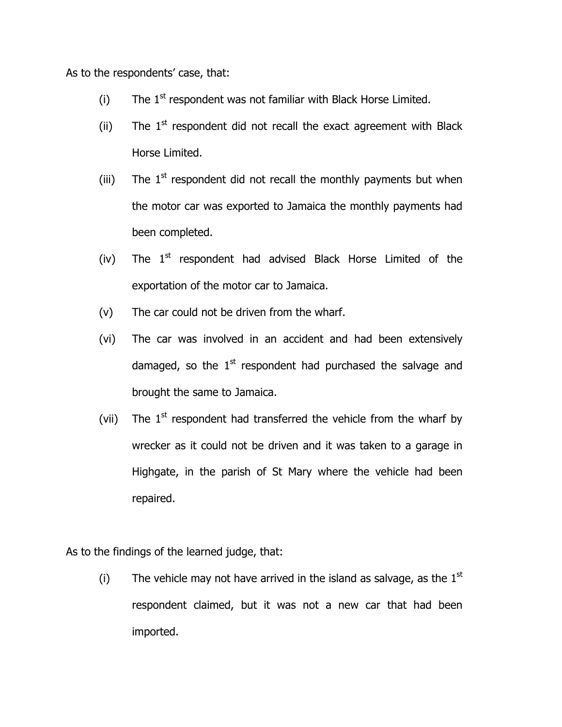As to the respondents' case, that:

- (i) The  $1<sup>st</sup>$  respondent was not familiar with Black Horse Limited.
- (ii) The  $1<sup>st</sup>$  respondent did not recall the exact agreement with Black Horse Limited.
- (iii) The  $1<sup>st</sup>$  respondent did not recall the monthly payments but when the motor car was exported to Jamaica the monthly payments had been completed.
- (iv) The  $1<sup>st</sup>$  respondent had advised Black Horse Limited of the exportation of the motor car to Jamaica.
- (v) The car could not be driven from the wharf.
- (vi) The car was involved in an accident and had been extensively damaged, so the  $1<sup>st</sup>$  respondent had purchased the salvage and brought the same to Jamaica.
- (vii) The  $1<sup>st</sup>$  respondent had transferred the vehicle from the wharf by wrecker as it could not be driven and it was taken to a garage in Highgate, in the parish of St Mary where the vehicle had been repaired.

As to the findings of the learned judge, that:

(i) The vehicle may not have arrived in the island as salvage, as the  $1<sup>st</sup>$ respondent claimed, but it was not a new car that had been imported.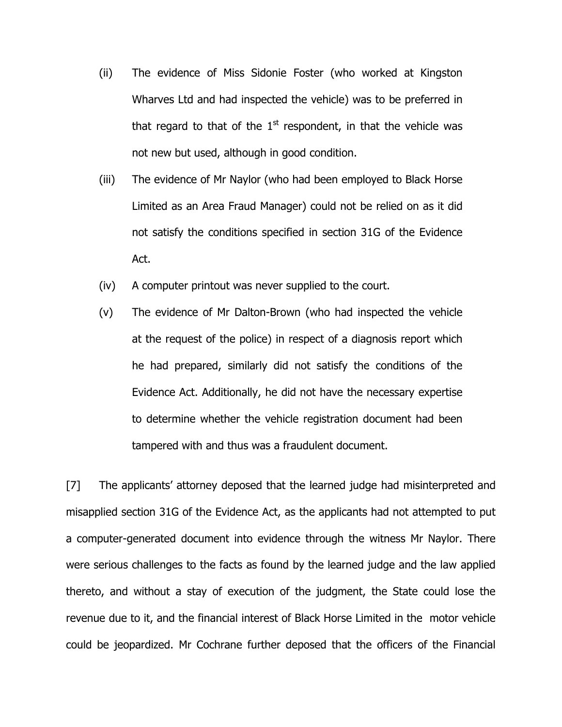- (ii) The evidence of Miss Sidonie Foster (who worked at Kingston Wharves Ltd and had inspected the vehicle) was to be preferred in that regard to that of the  $1<sup>st</sup>$  respondent, in that the vehicle was not new but used, although in good condition.
- (iii) The evidence of Mr Naylor (who had been employed to Black Horse Limited as an Area Fraud Manager) could not be relied on as it did not satisfy the conditions specified in section 31G of the Evidence Act.
- (iv) A computer printout was never supplied to the court.
- (v) The evidence of Mr Dalton-Brown (who had inspected the vehicle at the request of the police) in respect of a diagnosis report which he had prepared, similarly did not satisfy the conditions of the Evidence Act. Additionally, he did not have the necessary expertise to determine whether the vehicle registration document had been tampered with and thus was a fraudulent document.

[7] The applicants' attorney deposed that the learned judge had misinterpreted and misapplied section 31G of the Evidence Act, as the applicants had not attempted to put a computer-generated document into evidence through the witness Mr Naylor. There were serious challenges to the facts as found by the learned judge and the law applied thereto, and without a stay of execution of the judgment, the State could lose the revenue due to it, and the financial interest of Black Horse Limited in the motor vehicle could be jeopardized. Mr Cochrane further deposed that the officers of the Financial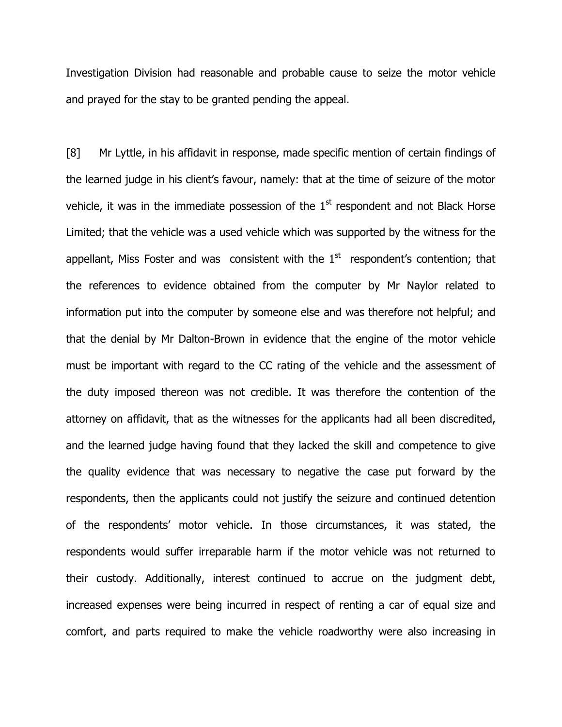Investigation Division had reasonable and probable cause to seize the motor vehicle and prayed for the stay to be granted pending the appeal.

[8] Mr Lyttle, in his affidavit in response, made specific mention of certain findings of the learned judge in his client's favour, namely: that at the time of seizure of the motor vehicle, it was in the immediate possession of the  $1<sup>st</sup>$  respondent and not Black Horse Limited; that the vehicle was a used vehicle which was supported by the witness for the appellant, Miss Foster and was consistent with the  $1<sup>st</sup>$  respondent's contention; that the references to evidence obtained from the computer by Mr Naylor related to information put into the computer by someone else and was therefore not helpful; and that the denial by Mr Dalton-Brown in evidence that the engine of the motor vehicle must be important with regard to the CC rating of the vehicle and the assessment of the duty imposed thereon was not credible. It was therefore the contention of the attorney on affidavit, that as the witnesses for the applicants had all been discredited, and the learned judge having found that they lacked the skill and competence to give the quality evidence that was necessary to negative the case put forward by the respondents, then the applicants could not justify the seizure and continued detention of the respondents' motor vehicle. In those circumstances, it was stated, the respondents would suffer irreparable harm if the motor vehicle was not returned to their custody. Additionally, interest continued to accrue on the judgment debt, increased expenses were being incurred in respect of renting a car of equal size and comfort, and parts required to make the vehicle roadworthy were also increasing in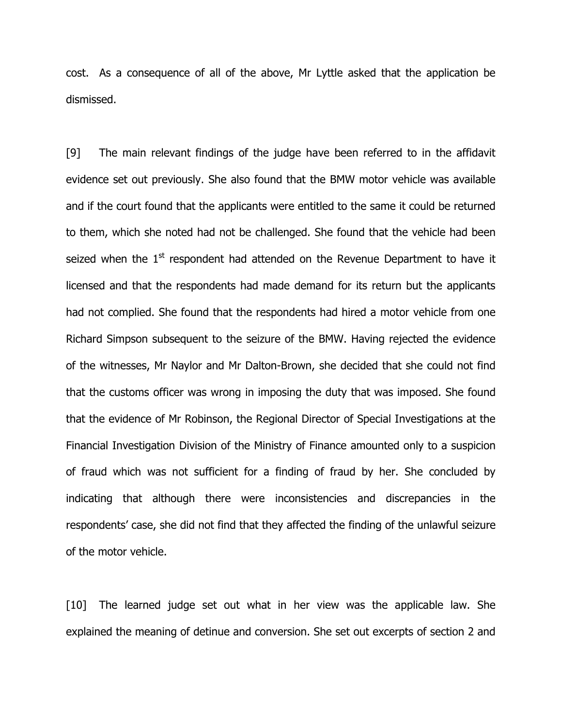cost. As a consequence of all of the above, Mr Lyttle asked that the application be dismissed.

[9] The main relevant findings of the judge have been referred to in the affidavit evidence set out previously. She also found that the BMW motor vehicle was available and if the court found that the applicants were entitled to the same it could be returned to them, which she noted had not be challenged. She found that the vehicle had been seized when the  $1<sup>st</sup>$  respondent had attended on the Revenue Department to have it licensed and that the respondents had made demand for its return but the applicants had not complied. She found that the respondents had hired a motor vehicle from one Richard Simpson subsequent to the seizure of the BMW. Having rejected the evidence of the witnesses, Mr Naylor and Mr Dalton-Brown, she decided that she could not find that the customs officer was wrong in imposing the duty that was imposed. She found that the evidence of Mr Robinson, the Regional Director of Special Investigations at the Financial Investigation Division of the Ministry of Finance amounted only to a suspicion of fraud which was not sufficient for a finding of fraud by her. She concluded by indicating that although there were inconsistencies and discrepancies in the respondents' case, she did not find that they affected the finding of the unlawful seizure of the motor vehicle.

[10] The learned judge set out what in her view was the applicable law. She explained the meaning of detinue and conversion. She set out excerpts of section 2 and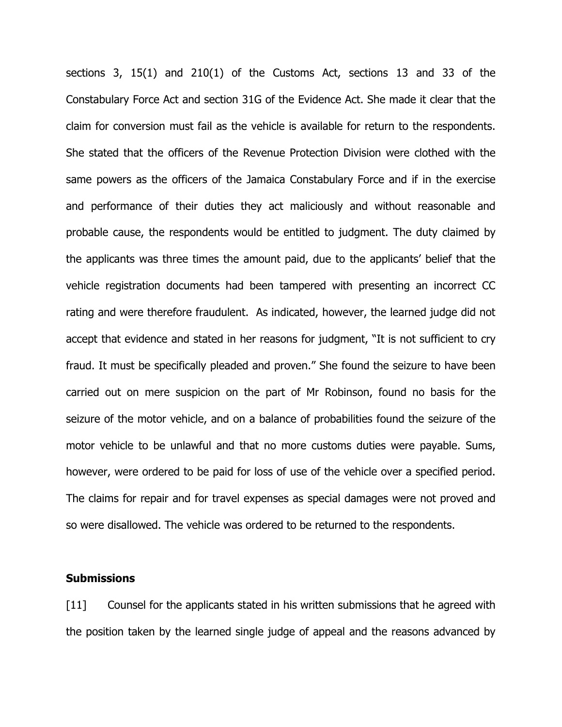sections 3, 15(1) and 210(1) of the Customs Act, sections 13 and 33 of the Constabulary Force Act and section 31G of the Evidence Act. She made it clear that the claim for conversion must fail as the vehicle is available for return to the respondents. She stated that the officers of the Revenue Protection Division were clothed with the same powers as the officers of the Jamaica Constabulary Force and if in the exercise and performance of their duties they act maliciously and without reasonable and probable cause, the respondents would be entitled to judgment. The duty claimed by the applicants was three times the amount paid, due to the applicants' belief that the vehicle registration documents had been tampered with presenting an incorrect CC rating and were therefore fraudulent. As indicated, however, the learned judge did not accept that evidence and stated in her reasons for judgment, "It is not sufficient to cry fraud. It must be specifically pleaded and proven." She found the seizure to have been carried out on mere suspicion on the part of Mr Robinson, found no basis for the seizure of the motor vehicle, and on a balance of probabilities found the seizure of the motor vehicle to be unlawful and that no more customs duties were payable. Sums, however, were ordered to be paid for loss of use of the vehicle over a specified period. The claims for repair and for travel expenses as special damages were not proved and so were disallowed. The vehicle was ordered to be returned to the respondents.

### **Submissions**

[11] Counsel for the applicants stated in his written submissions that he agreed with the position taken by the learned single judge of appeal and the reasons advanced by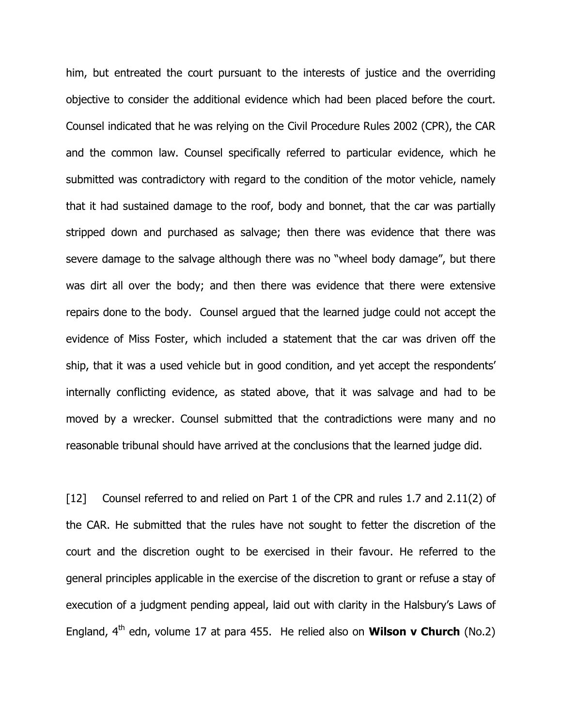him, but entreated the court pursuant to the interests of justice and the overriding objective to consider the additional evidence which had been placed before the court. Counsel indicated that he was relying on the Civil Procedure Rules 2002 (CPR), the CAR and the common law. Counsel specifically referred to particular evidence, which he submitted was contradictory with regard to the condition of the motor vehicle, namely that it had sustained damage to the roof, body and bonnet, that the car was partially stripped down and purchased as salvage; then there was evidence that there was severe damage to the salvage although there was no "wheel body damage", but there was dirt all over the body; and then there was evidence that there were extensive repairs done to the body. Counsel argued that the learned judge could not accept the evidence of Miss Foster, which included a statement that the car was driven off the ship, that it was a used vehicle but in good condition, and yet accept the respondents' internally conflicting evidence, as stated above, that it was salvage and had to be moved by a wrecker. Counsel submitted that the contradictions were many and no reasonable tribunal should have arrived at the conclusions that the learned judge did.

[12] Counsel referred to and relied on Part 1 of the CPR and rules 1.7 and 2.11(2) of the CAR. He submitted that the rules have not sought to fetter the discretion of the court and the discretion ought to be exercised in their favour. He referred to the general principles applicable in the exercise of the discretion to grant or refuse a stay of execution of a judgment pending appeal, laid out with clarity in the Halsbury's Laws of England,  $4^{\text{th}}$  edn, volume 17 at para 455. He relied also on **Wilson v Church** (No.2)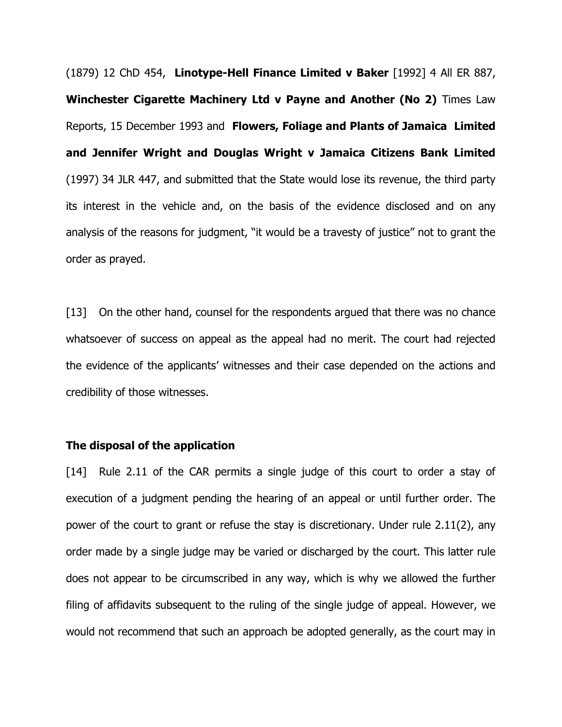(1879) 12 ChD 454, Linotype-Hell Finance Limited v Baker [1992] 4 All ER 887, Winchester Cigarette Machinery Ltd v Payne and Another (No 2) Times Law Reports, 15 December 1993 and Flowers, Foliage and Plants of Jamaica Limited and Jennifer Wright and Douglas Wright v Jamaica Citizens Bank Limited (1997) 34 JLR 447, and submitted that the State would lose its revenue, the third party its interest in the vehicle and, on the basis of the evidence disclosed and on any analysis of the reasons for judgment, "it would be a travesty of justice" not to grant the order as prayed.

[13] On the other hand, counsel for the respondents argued that there was no chance whatsoever of success on appeal as the appeal had no merit. The court had rejected the evidence of the applicants' witnesses and their case depended on the actions and credibility of those witnesses.

### The disposal of the application

[14] Rule 2.11 of the CAR permits a single judge of this court to order a stay of execution of a judgment pending the hearing of an appeal or until further order. The power of the court to grant or refuse the stay is discretionary. Under rule 2.11(2), any order made by a single judge may be varied or discharged by the court. This latter rule does not appear to be circumscribed in any way, which is why we allowed the further filing of affidavits subsequent to the ruling of the single judge of appeal. However, we would not recommend that such an approach be adopted generally, as the court may in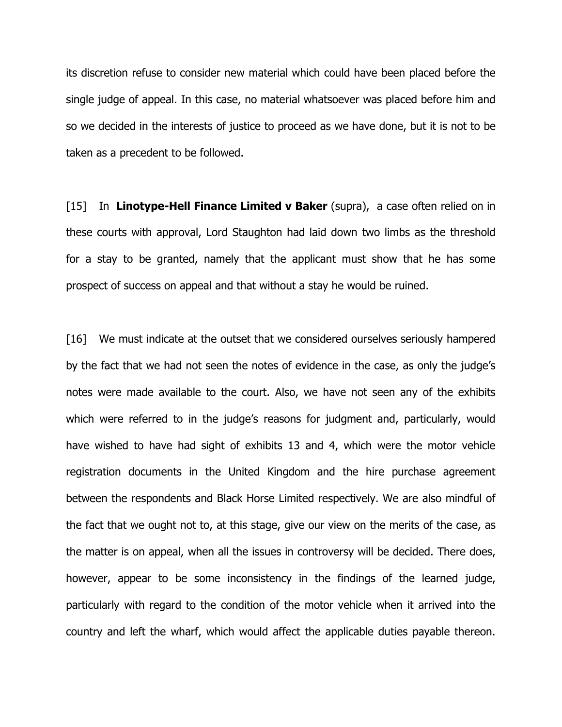its discretion refuse to consider new material which could have been placed before the single judge of appeal. In this case, no material whatsoever was placed before him and so we decided in the interests of justice to proceed as we have done, but it is not to be taken as a precedent to be followed.

 $[15]$  In Linotype-Hell Finance Limited v Baker (supra), a case often relied on in these courts with approval, Lord Staughton had laid down two limbs as the threshold for a stay to be granted, namely that the applicant must show that he has some prospect of success on appeal and that without a stay he would be ruined.

[16] We must indicate at the outset that we considered ourselves seriously hampered by the fact that we had not seen the notes of evidence in the case, as only the judge's notes were made available to the court. Also, we have not seen any of the exhibits which were referred to in the judge's reasons for judgment and, particularly, would have wished to have had sight of exhibits 13 and 4, which were the motor vehicle registration documents in the United Kingdom and the hire purchase agreement between the respondents and Black Horse Limited respectively. We are also mindful of the fact that we ought not to, at this stage, give our view on the merits of the case, as the matter is on appeal, when all the issues in controversy will be decided. There does, however, appear to be some inconsistency in the findings of the learned judge, particularly with regard to the condition of the motor vehicle when it arrived into the country and left the wharf, which would affect the applicable duties payable thereon.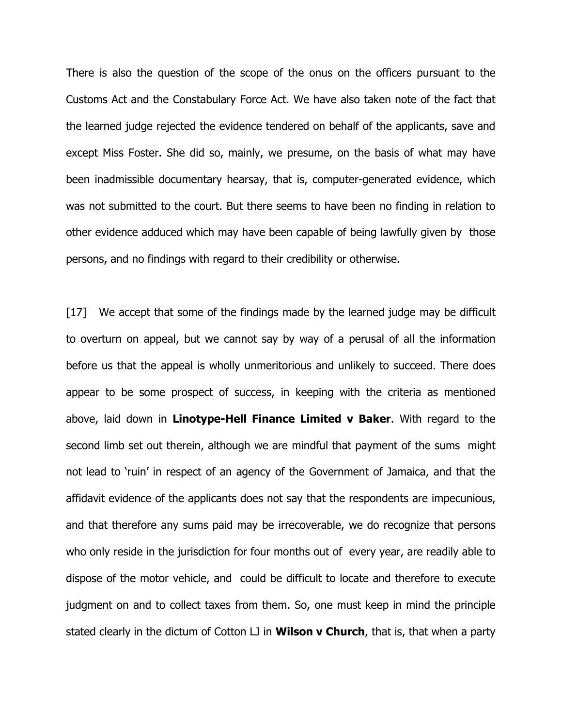There is also the question of the scope of the onus on the officers pursuant to the Customs Act and the Constabulary Force Act. We have also taken note of the fact that the learned judge rejected the evidence tendered on behalf of the applicants, save and except Miss Foster. She did so, mainly, we presume, on the basis of what may have been inadmissible documentary hearsay, that is, computer-generated evidence, which was not submitted to the court. But there seems to have been no finding in relation to other evidence adduced which may have been capable of being lawfully given by those persons, and no findings with regard to their credibility or otherwise.

[17] We accept that some of the findings made by the learned judge may be difficult to overturn on appeal, but we cannot say by way of a perusal of all the information before us that the appeal is wholly unmeritorious and unlikely to succeed. There does appear to be some prospect of success, in keeping with the criteria as mentioned above, laid down in Linotype-Hell Finance Limited v Baker. With regard to the second limb set out therein, although we are mindful that payment of the sums might not lead to 'ruin' in respect of an agency of the Government of Jamaica, and that the affidavit evidence of the applicants does not say that the respondents are impecunious, and that therefore any sums paid may be irrecoverable, we do recognize that persons who only reside in the jurisdiction for four months out of every year, are readily able to dispose of the motor vehicle, and could be difficult to locate and therefore to execute judgment on and to collect taxes from them. So, one must keep in mind the principle stated clearly in the dictum of Cotton LJ in **Wilson v Church**, that is, that when a party